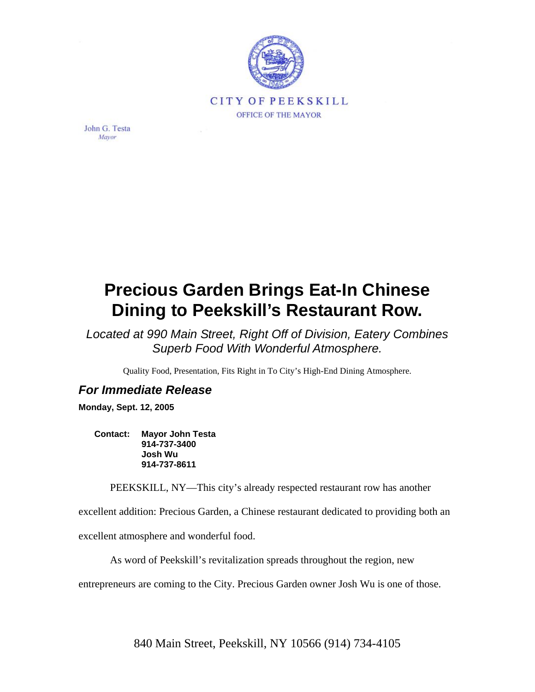

John G. Testa Mayor

## **Precious Garden Brings Eat-In Chinese Dining to Peekskill's Restaurant Row.**

*Located at 990 Main Street, Right Off of Division, Eatery Combines Superb Food With Wonderful Atmosphere.* 

Quality Food, Presentation, Fits Right in To City's High-End Dining Atmosphere.

## *For Immediate Release*

**Monday, Sept. 12, 2005** 

**Contact: Mayor John Testa 914-737-3400 Josh Wu 914-737-8611** 

PEEKSKILL, NY—This city's already respected restaurant row has another

excellent addition: Precious Garden, a Chinese restaurant dedicated to providing both an

excellent atmosphere and wonderful food.

As word of Peekskill's revitalization spreads throughout the region, new

entrepreneurs are coming to the City. Precious Garden owner Josh Wu is one of those.

840 Main Street, Peekskill, NY 10566 (914) 734-4105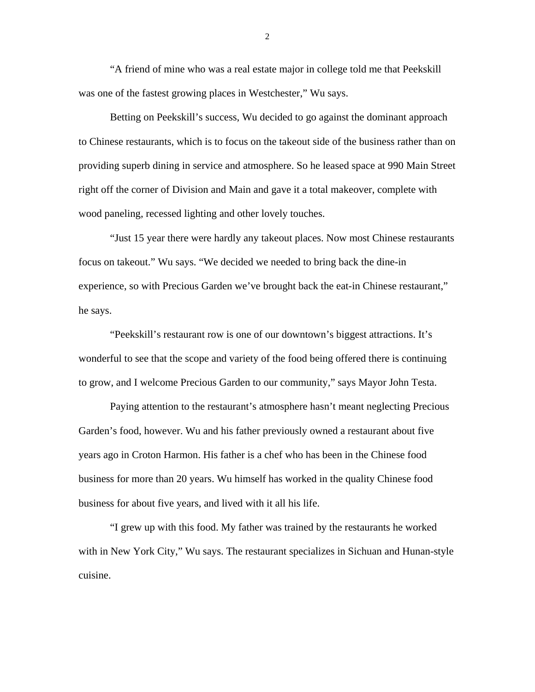"A friend of mine who was a real estate major in college told me that Peekskill was one of the fastest growing places in Westchester," Wu says.

Betting on Peekskill's success, Wu decided to go against the dominant approach to Chinese restaurants, which is to focus on the takeout side of the business rather than on providing superb dining in service and atmosphere. So he leased space at 990 Main Street right off the corner of Division and Main and gave it a total makeover, complete with wood paneling, recessed lighting and other lovely touches.

"Just 15 year there were hardly any takeout places. Now most Chinese restaurants focus on takeout." Wu says. "We decided we needed to bring back the dine-in experience, so with Precious Garden we've brought back the eat-in Chinese restaurant," he says.

"Peekskill's restaurant row is one of our downtown's biggest attractions. It's wonderful to see that the scope and variety of the food being offered there is continuing to grow, and I welcome Precious Garden to our community," says Mayor John Testa.

Paying attention to the restaurant's atmosphere hasn't meant neglecting Precious Garden's food, however. Wu and his father previously owned a restaurant about five years ago in Croton Harmon. His father is a chef who has been in the Chinese food business for more than 20 years. Wu himself has worked in the quality Chinese food business for about five years, and lived with it all his life.

"I grew up with this food. My father was trained by the restaurants he worked with in New York City," Wu says. The restaurant specializes in Sichuan and Hunan-style cuisine.

2